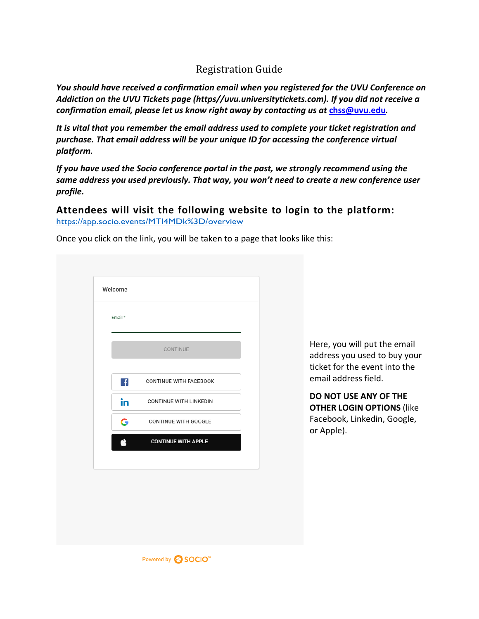## Registration Guide

*You should have received a confirmation email when you registered for the UVU Conference on Addiction on the UVU Tickets page (https//uvu.universitytickets.com). If you did not receive a confirmation email, please let us know right away by contacting us at* **[chss@uvu.edu](mailto:chss@uvu.edu)***.*

*It is vital that you remember the email address used to complete your ticket registration and purchase. That email address will be your unique ID for accessing the conference virtual platform.*

*If you have used the Socio conference portal in the past, we strongly recommend using the same address you used previously. That way, you won't need to create a new conference user profile.*

## **Attendees will visit the following website to login to the platform:**

<https://app.socio.events/MTI4MDk%3D/overview>

| Once you click on the link, you will be taken to a page that looks like this: |  |  |  |
|-------------------------------------------------------------------------------|--|--|--|
|                                                                               |  |  |  |

| CONTINUE<br>$\mathbf{f}$<br><b>CONTINUE WITH FACEBOOK</b><br>in.<br>CONTINUE WITH LINKEDIN<br>G<br>CONTINUE WITH GOOGLE<br>Ć<br><b>CONTINUE WITH APPLE</b> | Email* |  |
|------------------------------------------------------------------------------------------------------------------------------------------------------------|--------|--|
|                                                                                                                                                            |        |  |
|                                                                                                                                                            |        |  |
|                                                                                                                                                            |        |  |
|                                                                                                                                                            |        |  |
|                                                                                                                                                            |        |  |

Here, you will put the email address you used to buy your ticket for the event into the email address field.

**DO NOT USE ANY OF THE OTHER LOGIN OPTIONS** (like Facebook, Linkedin, Google, or Apple).

Powered by **SOCIO**"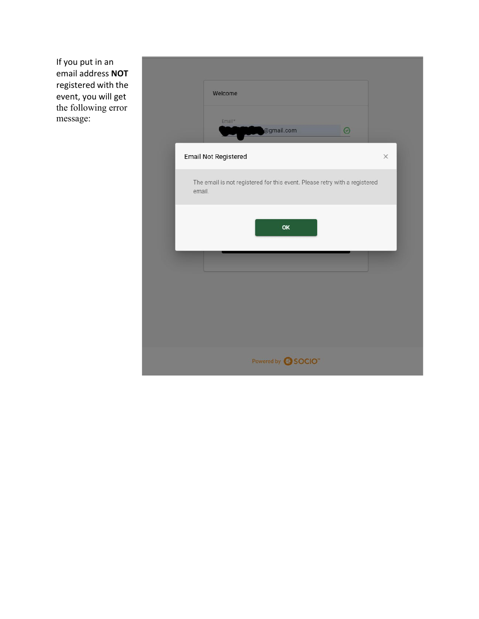If you put in an email address **NOT** registered with the event, you will get the following error message:

| Welcome                                                                              |          |
|--------------------------------------------------------------------------------------|----------|
| Email*<br>@gmail.com<br>$\odot$                                                      |          |
| <b>Email Not Registered</b>                                                          | $\times$ |
| The email is not registered for this event. Please retry with a registered<br>email. |          |
| OK                                                                                   |          |
|                                                                                      |          |
|                                                                                      |          |
|                                                                                      |          |
|                                                                                      |          |
| Powered by <b>SOCIO</b>                                                              |          |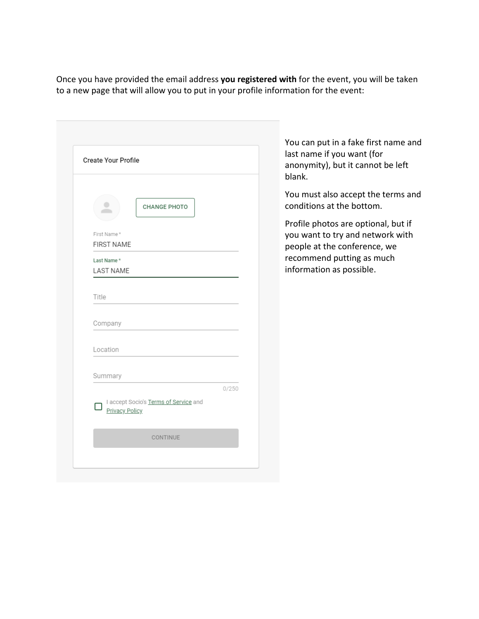Once you have provided the email address **you registered with** for the event, you will be taken to a new page that will allow you to put in your profile information for the event:

| Create Your Profile                                     |       |
|---------------------------------------------------------|-------|
|                                                         |       |
| <b>CHANGE PHOTO</b>                                     |       |
| First Name*                                             |       |
| <b>FIRST NAME</b>                                       |       |
| Last Name*<br><b>LAST NAME</b>                          |       |
| Title                                                   |       |
| Company                                                 |       |
| Location                                                |       |
| Summary                                                 |       |
| I accept Socio's Terms of Service and<br>Privacy Policy | 0/250 |
| CONTINUE                                                |       |

You can put in a fake first name and last name if you want (for anonymity), but it cannot be left blank.

You must also accept the terms and conditions at the bottom.

Profile photos are optional, but if you want to try and network with people at the conference, we recommend putting as much information as possible.